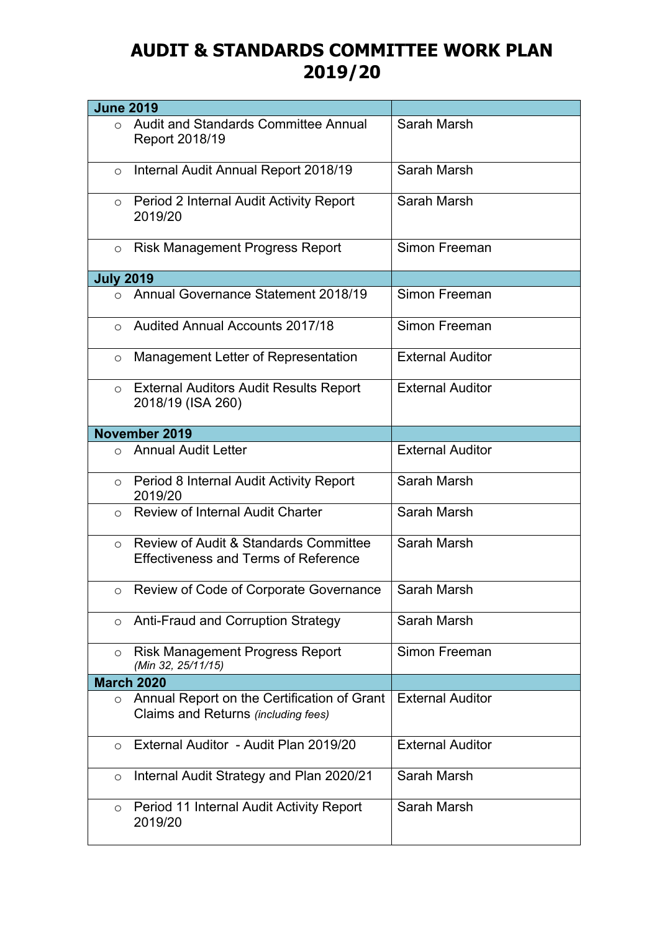## **AUDIT & STANDARDS COMMITTEE WORK PLAN 2019/20**

| <b>June 2019</b> |                                                                                                 |                         |
|------------------|-------------------------------------------------------------------------------------------------|-------------------------|
| $\bigcirc$       | Audit and Standards Committee Annual<br>Report 2018/19                                          | Sarah Marsh             |
| $\circ$          | Internal Audit Annual Report 2018/19                                                            | Sarah Marsh             |
| $\circ$          | Period 2 Internal Audit Activity Report<br>2019/20                                              | Sarah Marsh             |
| $\circ$          | <b>Risk Management Progress Report</b>                                                          | Simon Freeman           |
| <b>July 2019</b> |                                                                                                 |                         |
|                  | o Annual Governance Statement 2018/19                                                           | Simon Freeman           |
| $\circ$          | <b>Audited Annual Accounts 2017/18</b>                                                          | Simon Freeman           |
| $\circ$          | Management Letter of Representation                                                             | <b>External Auditor</b> |
| $\circ$          | <b>External Auditors Audit Results Report</b><br>2018/19 (ISA 260)                              | <b>External Auditor</b> |
|                  | November 2019                                                                                   |                         |
| $\circ$          | <b>Annual Audit Letter</b>                                                                      | <b>External Auditor</b> |
| $\circ$          | Period 8 Internal Audit Activity Report<br>2019/20                                              | Sarah Marsh             |
| $\circ$          | <b>Review of Internal Audit Charter</b>                                                         | Sarah Marsh             |
| $\circ$          | <b>Review of Audit &amp; Standards Committee</b><br><b>Effectiveness and Terms of Reference</b> | Sarah Marsh             |
| $\circ$          | Review of Code of Corporate Governance                                                          | Sarah Marsh             |
| $\circ$          | Anti-Fraud and Corruption Strategy                                                              | Sarah Marsh             |
| $\circ$          | <b>Risk Management Progress Report</b><br>(Min 32, 25/11/15)                                    | Simon Freeman           |
|                  | <b>March 2020</b>                                                                               |                         |
| $\circ$          | Annual Report on the Certification of Grant<br>Claims and Returns (including fees)              | <b>External Auditor</b> |
| $\circ$          | External Auditor - Audit Plan 2019/20                                                           | <b>External Auditor</b> |
| O                | Internal Audit Strategy and Plan 2020/21                                                        | Sarah Marsh             |
| O                | Period 11 Internal Audit Activity Report<br>2019/20                                             | Sarah Marsh             |